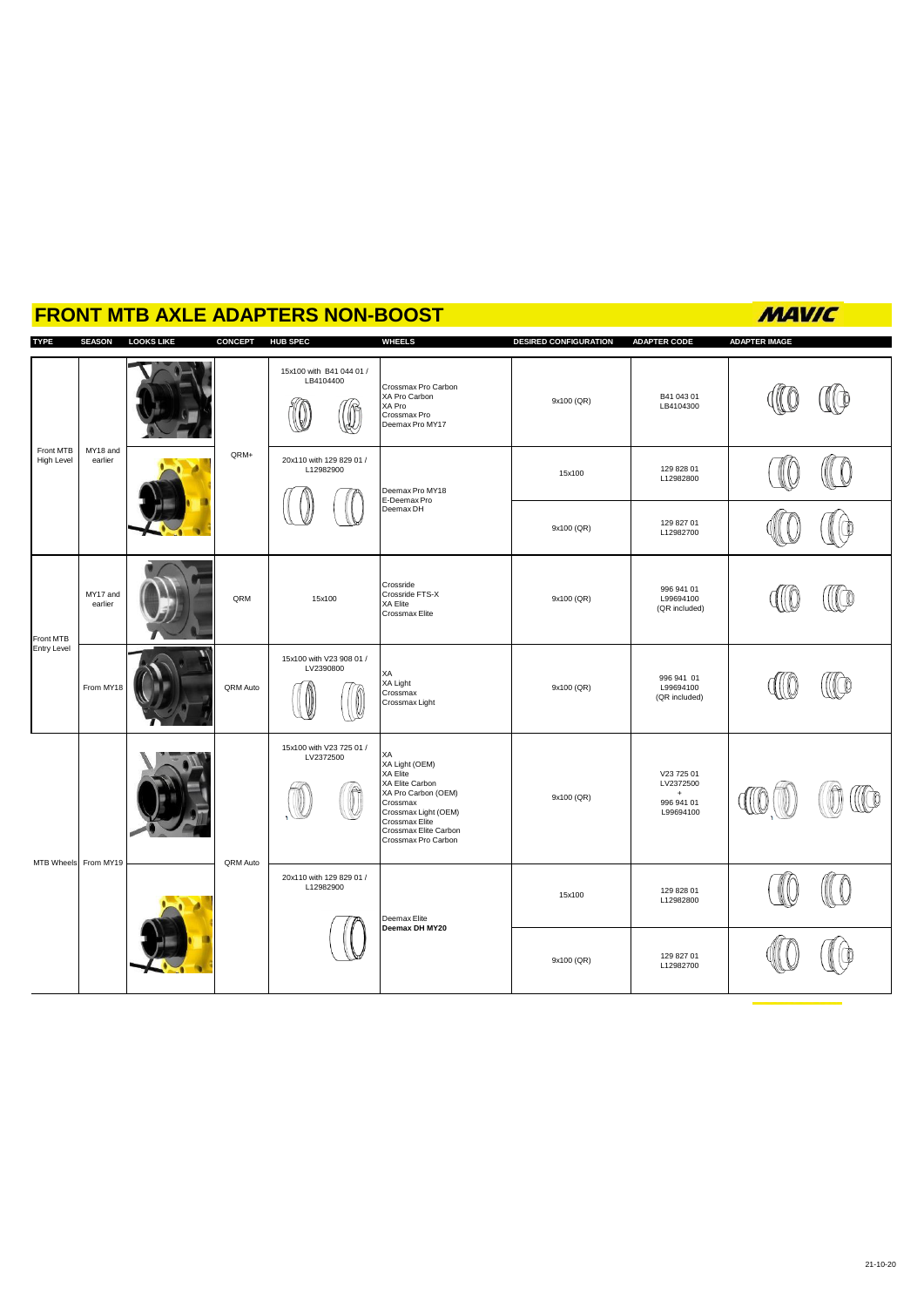## **FRONT MTB AXLE ADAPTERS NON-BOOST**

**TYPE SEASON LOOKS LIKE CONCEPT HUB SPEC WHEELS DESIRED CONFIGURATION ADAPTER CODE ADAPTER IMAGE** 15x100 with B41 044 01 / LB4104400 IIO  $\mathbb{C}$ Crossmax Pro Carbon XA Pro Carbon XA Pro Crossmax Pro B41 043 01<br>LB4104300  $9x100 (QR)$  $\mathbb{Q}$ Deemax Pro MY17 MY18 and Front MTB High Level earlier CRM+ 20x110 with 129 829 01 / Œ O L12982900 15x100 129 828 01<br>L12982800 Deemax Pro MY18 E-Deemax Pro Deemax DH L ((@ 9x100 (QR) 129 827 01 L12982700 10 Crossride Crossride FTS-X XA Elite ((Co 996 941 01 L99694100 MY17 and<br>earlier 9x100 (QR) earlier (Control 15x100) QRM 15x100 (QR included) ron Elito<br>Crossmav Elita Front MTB Entry Level 15x100 with V23 908 01 / LV2390800 XA (ICo CO XA Light 996 941 01 L99694100 (QR included) From MY18 QRM Auto 9x100 (QR)  $\mathbb{Q}$ Crossmax Crossmax Light 15x100 with V23 725 01 / LV2372500 XA Light (OEM) XA Elite XA Elite Carbon XA Pro Carbon (OEM) V23 725 01 LV2372500  $\bigcirc$  $\bigcirc$ ((Co I 9x100 (QR) + 996 941 01 Crossmax Crossmax Light (OEM) L99694100 Crossmax Elite Crossmax Elite Carbon Crossmax Pro Carbon MTB Wheels From MY19 QRM Auto 20x110 with 129 829 01 / (II 0 L12982900 15x100 129 828 01 L12982800 Deemax Elite **Deemax DH MY20**  $\overline{\mathbb{Q}}$ 9x100 (QR) 129 827 01 U 112982700

#### **MAVIC**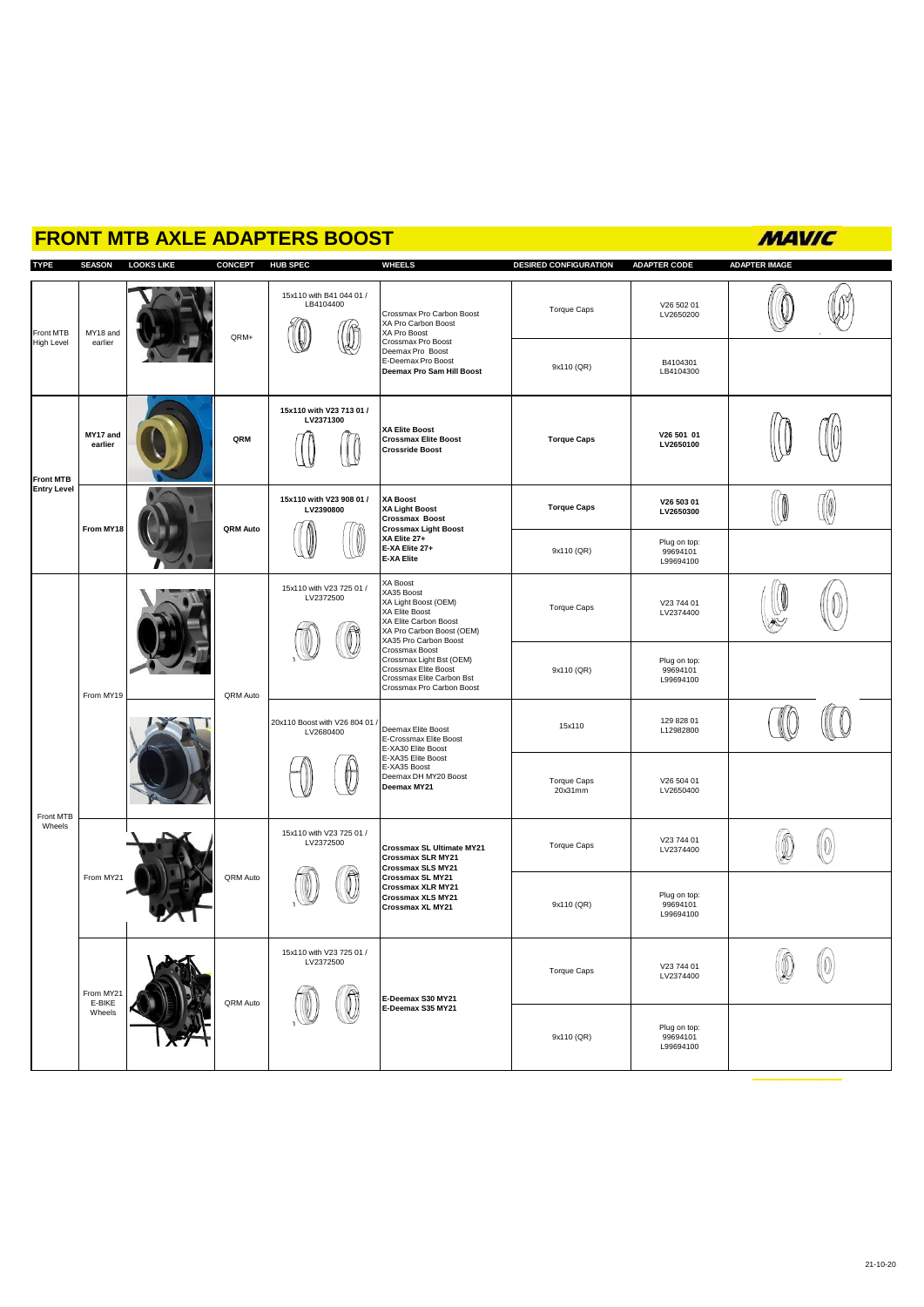# **FRONT MTB AXLE ADAPTERS BOOST**

# **MAVIC**

| <b>TYPE</b>                            | <b>SEASON</b>                 | <b>LOOKS LIKE</b> | CONCEPT HUB SPEC |                                           | <b>WHEELS</b>                                                                                                                                                                                                                                                                                                                                                                                                                      | <b>DESIRED CONFIGURATION</b> | <b>ADAPTER CODE</b>                   | <b>ADAPTER IMAGE</b> |            |
|----------------------------------------|-------------------------------|-------------------|------------------|-------------------------------------------|------------------------------------------------------------------------------------------------------------------------------------------------------------------------------------------------------------------------------------------------------------------------------------------------------------------------------------------------------------------------------------------------------------------------------------|------------------------------|---------------------------------------|----------------------|------------|
| Front MTB<br><b>High Level</b>         | MY18 and<br>earlier           |                   | QRM+             | 15x110 with B41 044 01 /<br>LB4104400     | Crossmax Pro Carbon Boost<br>XA Pro Carbon Boost<br>XA Pro Boost<br>Crossmax Pro Boost<br>Deemax Pro Boost<br>E-Deemax Pro Boost<br>Deemax Pro Sam Hill Boost                                                                                                                                                                                                                                                                      | Torque Caps                  | V26 502 01<br>LV2650200               |                      |            |
|                                        |                               |                   |                  |                                           |                                                                                                                                                                                                                                                                                                                                                                                                                                    | 9x110 (QR)                   | B4104301<br>LB4104300                 |                      |            |
| <b>Front MTB</b><br><b>Entry Level</b> | MY17 and<br>earlier           |                   | QRM              | 15x110 with V23 713 01 /<br>LV2371300     | <b>XA Elite Boost</b><br><b>Crossmax Elite Boost</b><br><b>Crossride Boost</b>                                                                                                                                                                                                                                                                                                                                                     | <b>Torque Caps</b>           | V26 501 01<br>LV2650100               |                      |            |
|                                        | From MY18                     |                   | QRM Auto         | 15x110 with V23 908 01 /<br>LV2390800     | <b>XA Boost</b><br><b>XA Light Boost</b><br><b>Crossmax Boost</b><br><b>Crossmax Light Boost</b><br>XA Elite 27+<br>E-XA Elite 27+<br><b>E-XA Elite</b>                                                                                                                                                                                                                                                                            | <b>Torque Caps</b>           | V26 503 01<br>LV2650300               |                      | $\sqrt{0}$ |
|                                        |                               |                   |                  |                                           |                                                                                                                                                                                                                                                                                                                                                                                                                                    | 9x110 (QR)                   | Plug on top:<br>99694101<br>L99694100 |                      |            |
| Front MTB<br>Wheels                    | From MY19                     |                   | QRM Auto         | 15x110 with V23 725 01 /<br>LV2372500     | XA Boost<br>XA35 Boost<br>XA Light Boost (OEM)<br>XA Elite Boost<br>XA Elite Carbon Boost<br>XA Pro Carbon Boost (OEM)<br>XA35 Pro Carbon Boost<br>Crossmax Boost<br>Crossmax Light Bst (OEM)<br>Crossmax Elite Boost<br>Crossmax Elite Carbon Bst<br>Crossmax Pro Carbon Boost<br>Deemax Elite Boost<br>E-Crossmax Elite Boost<br>E-XA30 Elite Boost<br>E-XA35 Elite Boost<br>E-XA35 Boost<br>Deemax DH MY20 Boost<br>Deemax MY21 | Torque Caps                  | V23 744 01<br>LV2374400               |                      |            |
|                                        |                               |                   |                  |                                           |                                                                                                                                                                                                                                                                                                                                                                                                                                    | 9x110 (QR)                   | Plug on top:<br>99694101<br>L99694100 |                      |            |
|                                        |                               |                   |                  | 20x110 Boost with V26 804 01<br>LV2680400 |                                                                                                                                                                                                                                                                                                                                                                                                                                    | 15x110                       | 129 828 01<br>L12982800               |                      |            |
|                                        |                               |                   |                  |                                           |                                                                                                                                                                                                                                                                                                                                                                                                                                    | Torque Caps<br>20x31mm       | V26 504 01<br>LV2650400               |                      |            |
|                                        | From MY21                     |                   | QRM Auto         | 15x110 with V23 725 01 /<br>LV2372500     | Crossmax SL Ultimate MY21<br>Crossmax SLR MY21<br>Crossmax SLS MY21                                                                                                                                                                                                                                                                                                                                                                | Torque Caps                  | V23 744 01<br>LV2374400               |                      |            |
|                                        |                               |                   |                  |                                           | Crossmax SL MY21<br>Crossmax XLR MY21<br>Crossmax XLS MY21<br>Crossmax XL MY21                                                                                                                                                                                                                                                                                                                                                     | 9x110 (QR)                   | Plug on top:<br>99694101<br>L99694100 |                      |            |
|                                        | From MY21<br>E-BIKE<br>Wheels | I.A               | QRM Auto         | 15x110 with V23 725 01 /<br>LV2372500     | E-Deemax S30 MY21<br>E-Deemax S35 MY21                                                                                                                                                                                                                                                                                                                                                                                             | Torque Caps                  | V23 744 01<br>LV2374400               | l n                  | 10         |
|                                        |                               |                   |                  |                                           |                                                                                                                                                                                                                                                                                                                                                                                                                                    | 9x110 (QR)                   | Plug on top:<br>99694101<br>L99694100 |                      |            |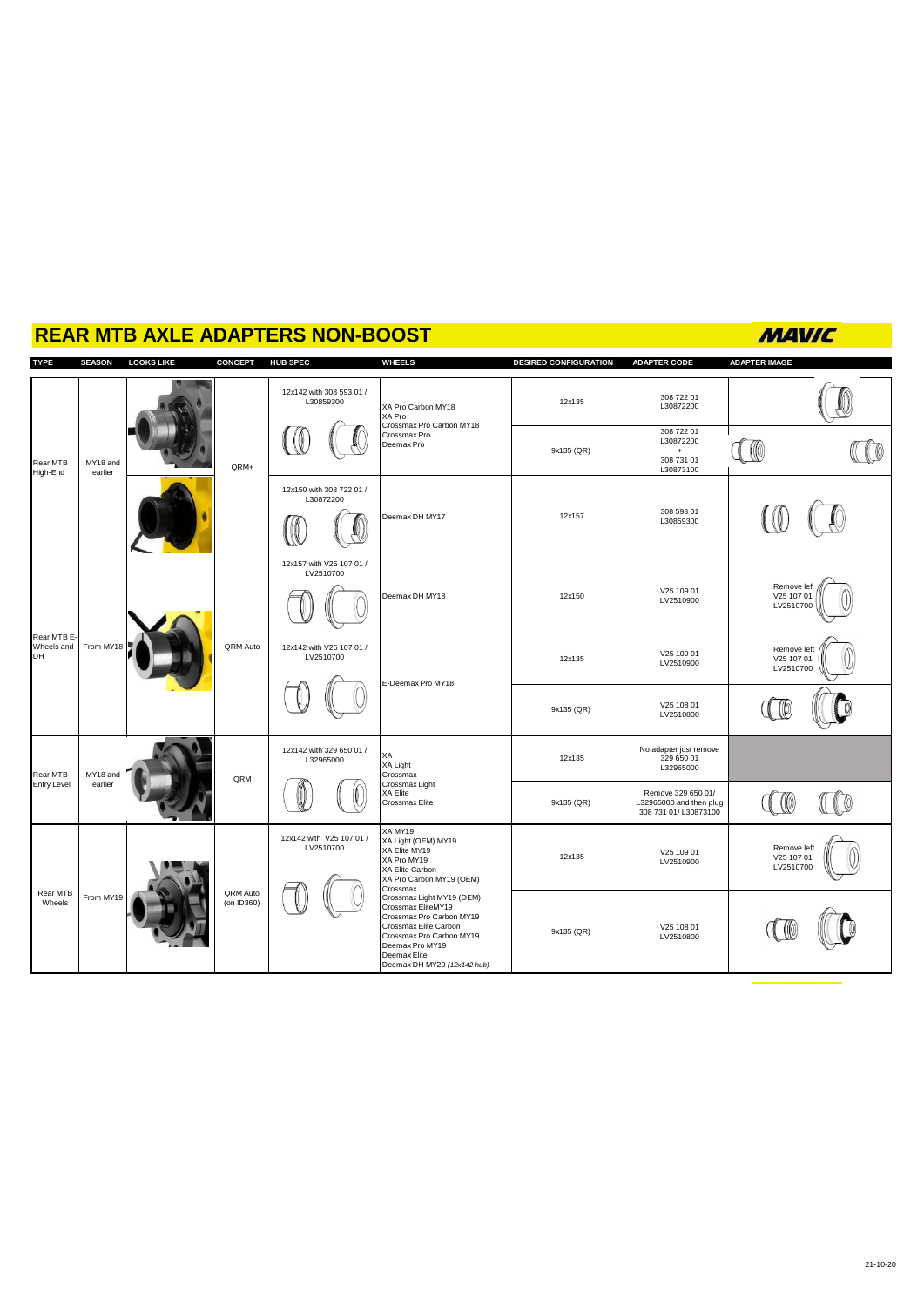| <u>REAR MTB AXLE ADAPTERS NON-BOOST</u> |                     |                   |                        |                                       |                                                                                                                                                                                                                                                                                                                                 |                              | MAVIC                                                                  |                                        |
|-----------------------------------------|---------------------|-------------------|------------------------|---------------------------------------|---------------------------------------------------------------------------------------------------------------------------------------------------------------------------------------------------------------------------------------------------------------------------------------------------------------------------------|------------------------------|------------------------------------------------------------------------|----------------------------------------|
| <b>TYPE</b>                             | <b>SEASON</b>       | <b>LOOKS LIKE</b> | <b>CONCEPT</b>         | <b>HUB SPEC</b>                       | <b>WHEELS</b>                                                                                                                                                                                                                                                                                                                   | <b>DESIRED CONFIGURATION</b> | <b>ADAPTER CODE</b>                                                    | <b>ADAPTER IMAGE</b>                   |
| Rear MTB<br>High-End                    | MY18 and<br>earlier |                   | QRM+                   | 12x142 with 308 593 01 /<br>L30859300 | XA Pro Carbon MY18<br>XA Pro<br>Crossmax Pro Carbon MY18<br>Crossmax Pro<br>Deemax Pro                                                                                                                                                                                                                                          | 12x135                       | 308 722 01<br>L30872200                                                |                                        |
|                                         |                     |                   |                        |                                       |                                                                                                                                                                                                                                                                                                                                 | 9x135 (QR)                   | 308 722 01<br>L30872200<br>$+$<br>308 731 01<br>L30873100              |                                        |
|                                         |                     |                   |                        | 12x150 with 308 722 01 /<br>L30872200 | Deemax DH MY17                                                                                                                                                                                                                                                                                                                  | 12x157                       | 308 593 01<br>L30859300                                                |                                        |
| Rear MTB E-<br>Wheels and<br>DH         | From MY18           |                   | QRM Auto               | 12x157 with V25 107 01 /<br>LV2510700 | Deemax DH MY18                                                                                                                                                                                                                                                                                                                  | 12x150                       | V25 109 01<br>LV2510900                                                | Remove left<br>V25 107 01<br>LV2510700 |
|                                         |                     |                   |                        | 12x142 with V25 107 01 /<br>LV2510700 | E-Deemax Pro MY18                                                                                                                                                                                                                                                                                                               | 12x135                       | V25 109 01<br>LV2510900                                                | Remove left<br>V25 107 01<br>LV2510700 |
|                                         |                     |                   |                        |                                       |                                                                                                                                                                                                                                                                                                                                 | 9x135 (QR)                   | V25 108 01<br>LV2510800                                                |                                        |
| Rear MTB<br><b>Entry Level</b>          | MY18 and<br>earlier |                   | QRM                    | 12x142 with 329 650 01 /<br>L32965000 | ХA<br>XA Light<br>Crossmax                                                                                                                                                                                                                                                                                                      | 12x135                       | No adapter just remove<br>329 650 01<br>L32965000                      |                                        |
|                                         |                     |                   |                        |                                       | Crossmax Light<br>XA Elite<br>Crossmax Elite                                                                                                                                                                                                                                                                                    | 9x135 (QR)                   | Remove 329 650 01/<br>L32965000 and then plug<br>308 731 01/ L30873100 |                                        |
| Rear MTB<br>Wheels                      | From MY19           |                   | QRM Auto<br>(on ID360) | 12x142 with V25 107 01 /<br>LV2510700 | XA MY19<br>XA Light (OEM) MY19<br>XA Elite MY19<br>XA Pro MY19<br>XA Elite Carbon<br>XA Pro Carbon MY19 (OEM)<br>Crossmax<br>Crossmax Light MY19 (OEM)<br>Crossmax EliteMY19<br>Crossmax Pro Carbon MY19<br>Crossmax Elite Carbon<br>Crossmax Pro Carbon MY19<br>Deemax Pro MY19<br>Deemax Elite<br>Deemax DH MY20 (12x142 hub) | 12x135                       | V25 109 01<br>LV2510900                                                | Remove left<br>V25 107 01<br>LV2510700 |
|                                         |                     |                   |                        |                                       |                                                                                                                                                                                                                                                                                                                                 | 9x135 (QR)                   | V25 108 01<br>LV2510800                                                |                                        |

### **REAR MTB AXLE ADAPTERS NON-BOOST**